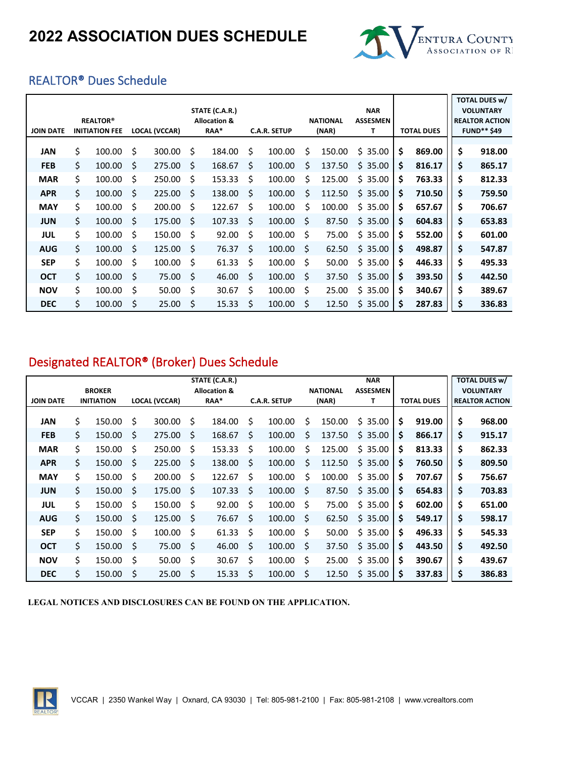

## REALTOR® Dues Schedule

| <b>JOIN DATE</b> | <b>REALTOR®</b><br><b>INITIATION FEE</b> |    | <b>LOCAL (VCCAR)</b> |     | STATE (C.A.R.)<br><b>Allocation &amp;</b><br>RAA* |    | <b>C.A.R. SETUP</b> |   | <b>NATIONAL</b><br>(NAR) | <b>NAR</b><br><b>ASSESMEN</b><br>T | <b>TOTAL DUES</b> | <b>TOTAL DUES w/</b><br><b>VOLUNTARY</b><br><b>REALTOR ACTION</b><br><b>FUND** \$49</b> |
|------------------|------------------------------------------|----|----------------------|-----|---------------------------------------------------|----|---------------------|---|--------------------------|------------------------------------|-------------------|-----------------------------------------------------------------------------------------|
| <b>JAN</b>       | \$<br>100.00                             | Ś. | 300.00               | \$  | 184.00                                            | \$ | 100.00              | Ś | 150.00                   | \$35.00                            | \$<br>869.00      | \$<br>918.00                                                                            |
| <b>FEB</b>       | \$<br>100.00                             | \$ | 275.00               | S   | 168.67                                            | Ś  | 100.00              | Ś | 137.50                   | \$35.00                            | \$<br>816.17      | \$<br>865.17                                                                            |
| <b>MAR</b>       | \$<br>100.00                             | Ś. | 250.00               | Ś   | 153.33                                            | Ś  | 100.00              | Ś | 125.00                   | \$35.00                            | \$<br>763.33      | \$<br>812.33                                                                            |
| <b>APR</b>       | \$<br>100.00                             | Ŝ. | 225.00               | \$  | 138.00                                            | Ś  | 100.00              | Ś | 112.50                   | \$35.00                            | \$<br>710.50      | \$<br>759.50                                                                            |
| <b>MAY</b>       | \$<br>100.00                             | Ś  | 200.00               | Ś   | 122.67                                            | Ś  | 100.00              | Ś | 100.00                   | \$35.00                            | \$<br>657.67      | \$<br>706.67                                                                            |
| <b>JUN</b>       | \$<br>100.00                             | Ŝ. | 175.00               | \$. | 107.33                                            | \$ | 100.00              | Ś | 87.50                    | \$35.00                            | \$<br>604.83      | \$<br>653.83                                                                            |
| <b>JUL</b>       | \$<br>100.00                             | \$ | 150.00               | Ŝ.  | 92.00                                             | Ś  | 100.00              | Ś | 75.00                    | \$35.00                            | \$<br>552.00      | \$<br>601.00                                                                            |
| <b>AUG</b>       | \$<br>100.00                             | \$ | 125.00               | Ś   | 76.37                                             | \$ | 100.00              | Ś | 62.50                    | \$35.00                            | \$<br>498.87      | \$<br>547.87                                                                            |
| <b>SEP</b>       | \$<br>100.00                             | Ś. | 100.00               | Ś   | 61.33                                             | \$ | 100.00              | Ś | 50.00                    | \$35.00                            | \$<br>446.33      | \$<br>495.33                                                                            |
| <b>OCT</b>       | \$<br>100.00                             | \$ | 75.00                | Ś   | 46.00                                             | Ś  | 100.00              | Ś | 37.50                    | \$35.00                            | \$<br>393.50      | \$<br>442.50                                                                            |
| <b>NOV</b>       | \$<br>100.00                             | \$ | 50.00                | \$  | 30.67                                             | \$ | 100.00              | Ś | 25.00                    | \$35.00                            | \$<br>340.67      | \$<br>389.67                                                                            |
| <b>DEC</b>       | \$<br>100.00                             | Ś  | 25.00                | \$  | 15.33                                             | Ś  | 100.00              | Ś | 12.50                    | \$35.00                            | \$<br>287.83      | \$<br>336.83                                                                            |

## Designated REALTOR® (Broker) Dues Schedule

|                  |                   |    |                      |     | STATE (C.A.R.)          |    |                     |   |                 | <b>NAR</b>      |    |                   | <b>TOTAL DUES w/</b>  |
|------------------|-------------------|----|----------------------|-----|-------------------------|----|---------------------|---|-----------------|-----------------|----|-------------------|-----------------------|
|                  | <b>BROKER</b>     |    |                      |     | <b>Allocation &amp;</b> |    |                     |   | <b>NATIONAL</b> | <b>ASSESMEN</b> |    |                   | <b>VOLUNTARY</b>      |
| <b>JOIN DATE</b> | <b>INITIATION</b> |    | <b>LOCAL (VCCAR)</b> |     | RAA*                    |    | <b>C.A.R. SETUP</b> |   | (NAR)           | T               |    | <b>TOTAL DUES</b> | <b>REALTOR ACTION</b> |
| <b>JAN</b>       | \$<br>150.00      | Ś  | 300.00               | Ś   | 184.00                  | Ś  | 100.00              | Ś | 150.00          | \$35.00         | \$ | 919.00            | \$<br>968.00          |
| <b>FEB</b>       | \$<br>150.00      | S  | 275.00               | Ŝ.  | 168.67                  | S. | 100.00              | Ś | 137.50          | \$35.00         | \$ | 866.17            | \$<br>915.17          |
| <b>MAR</b>       | \$<br>150.00      | \$ | 250.00               | \$  | 153.33                  | \$ | 100.00              | Ś | 125.00          | \$35.00         | \$ | 813.33            | \$<br>862.33          |
| <b>APR</b>       | \$<br>150.00      | Ś  | 225.00               | Ś   | 138.00                  | \$ | 100.00              | Ś | 112.50          | \$35.00         | \$ | 760.50            | \$<br>809.50          |
| <b>MAY</b>       | \$<br>150.00      | Ś  | 200.00               | Ś   | 122.67                  | Ś  | 100.00              | Ś | 100.00          | \$35.00         | \$ | 707.67            | \$<br>756.67          |
| <b>JUN</b>       | \$<br>150.00      | Ś. | 175.00               | \$. | 107.33                  | \$ | 100.00              | Ś | 87.50           | \$35.00         | \$ | 654.83            | \$<br>703.83          |
| <b>JUL</b>       | \$<br>150.00      | \$ | 150.00               | \$  | 92.00                   | \$ | 100.00              | Ś | 75.00           | \$35.00         | \$ | 602.00            | \$<br>651.00          |
| <b>AUG</b>       | \$<br>150.00      | Ś  | 125.00               | Ŝ.  | 76.67                   | Ś  | 100.00              | Ś | 62.50           | \$35.00         | \$ | 549.17            | \$<br>598.17          |
| <b>SEP</b>       | \$<br>150.00      | Ś  | 100.00               | \$  | 61.33                   | Ś  | 100.00              | Ś | 50.00           | \$35.00         | \$ | 496.33            | \$<br>545.33          |
| <b>OCT</b>       | \$<br>150.00      | \$ | 75.00                | Ś   | 46.00                   | Ś  | 100.00              | Ś | 37.50           | \$35.00         | \$ | 443.50            | \$<br>492.50          |
| <b>NOV</b>       | \$<br>150.00      | Ś  | 50.00                | \$  | 30.67                   | \$ | 100.00              | Ś | 25.00           | \$35.00         | \$ | 390.67            | \$<br>439.67          |
| <b>DEC</b>       | \$<br>150.00      | Ś  | 25.00                | Ś   | 15.33                   | Ś  | 100.00              | Ś | 12.50           | \$35.00         | Ŝ  | 337.83            | \$<br>386.83          |

**LEGAL NOTICES AND DISCLOSURES CAN BE FOUND ON THE APPLICATION.**